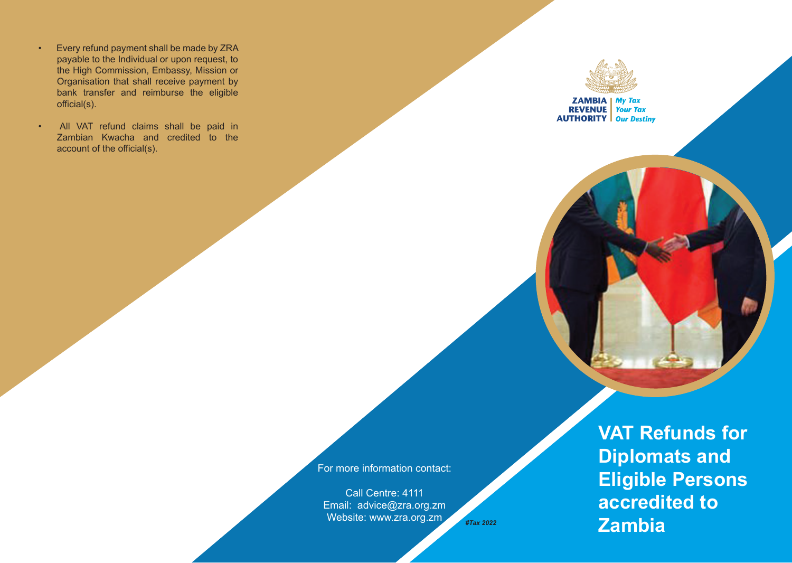- Every refund payment shall be made by ZRA payable to the Individual or upon request, to the High Commission, Embassy, Mission or Organisation that shall receive payment by bank transfer and reimburse the eligible official(s).
- All VAT refund claims shall be paid in Zambian Kwacha and credited to the account of the official(s).



**ZAMBIA** My Tax<br>REVENUE Your Tax **AUTHORITY Our Destiny** 

For more information contact:

Call Centre: 4111 Email: advice@zra.org.zm Website: www.zra.org.zm

**VAT Refunds for Diplomats and Eligible Persons accredited to Zambia** *#Tax 2022*